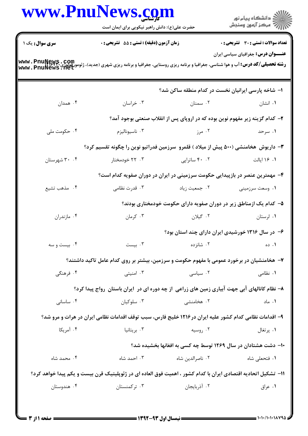|                | حضرت علی(ع): دانش راهبر نیکویی برای ایمان است<br>زمان آزمون (دقیقه) : تستی : 55 آتشریحی : 0                                                       |                                                                              | الاد دانشگاه پيام نور<br>   > مرکز آزمون وسنجش<br><b>تعداد سوالات : تستی : 30 ٪ تشریحی : 0</b> |  |
|----------------|---------------------------------------------------------------------------------------------------------------------------------------------------|------------------------------------------------------------------------------|------------------------------------------------------------------------------------------------|--|
| سری سوال: یک ۱ |                                                                                                                                                   |                                                                              |                                                                                                |  |
|                | <b>رشته تحصیلی/کد درس: آ</b> ب و هوا شناسی، جغرافیا و برنامه ریزی روستایی، جغرافیا و برنامه ریزی شهری (جدید)، ژئومورفولوژی<br>www . PnuNews . Net |                                                                              | <b>عنـــوان درس:</b> جغرافیای سیاسی ایران                                                      |  |
|                |                                                                                                                                                   | ۱– شاخه پارسی ایرانیان نخست در کدام منطقه ساکن شد؟                           |                                                                                                |  |
| ۰۴ همدان       | ۰۳ خراسان                                                                                                                                         | ۰۲ سمنان                                                                     | ۰۱ انشان                                                                                       |  |
|                |                                                                                                                                                   | ۲- کدام گزینه زیر مفهوم نوین بوده که در اروپای پس از انقلاب صنعتی بوجود آمد؟ |                                                                                                |  |
| ۰۴ حکومت ملی   | ۰۳ ناسيوناليزم                                                                                                                                    | ۰۲ مرز                                                                       | ۰۱ سرحد                                                                                        |  |
|                | ۳- داریوش  هخامنشی (۵۰۰ پیش از میلاد ) قلمرو  سرزمین فدراتیو نوین را چگونه تقسیم کرد؟                                                             |                                                                              |                                                                                                |  |
| ۰۴ شهرستان     | ۰۳ خودمختار                                                                                                                                       | ۰۲ ساتراپی                                                                   | ۰۱ ۱۶ ایالت                                                                                    |  |
|                |                                                                                                                                                   | ۴- مهمترین عنصر در بازپیدایی حکومت سرزمینی در ایران در دوران صفویه کدام است؟ |                                                                                                |  |
| ۰۴ مذهب تشيع   | ۰۳ قدرت نظامی                                                                                                                                     | ۰۲ جمعیت زیاد                                                                | ۰۱ وسعت سرزمینی                                                                                |  |
|                |                                                                                                                                                   | ۵– کدام یک ازمناطق زیر در دوران صفویه دارای حکومت خودمختاری بودند؟           |                                                                                                |  |
| ۰۴ مازندران    | ۰۳ کرمان                                                                                                                                          | ۰۲ گیلان                                                                     | ۰۱ لرستان                                                                                      |  |
|                |                                                                                                                                                   | ۶– در سال ۱۳۱۶ خورشیدی ایران دارای چند استان بود؟                            |                                                                                                |  |
| ۰۴ بیست و سه   | ۰۳ بیست                                                                                                                                           | ۰۲ شانزده                                                                    | ۰۱ ده                                                                                          |  |
|                | ۷– هخامنشیان در برخورد عمومی با مفهوم حکومت و سرزمین، بیشتر بر روی کدام عامل تاکید داشتند؟                                                        |                                                                              |                                                                                                |  |
| ۰۴ فرهنگی      | ۰۳ امنیتی                                                                                                                                         | ۰۲ سیاسی                                                                     | ۰۱ نظامی                                                                                       |  |
|                | ۸– نظام کانالهای آبی جهت آبیاری زمین های زراعی از چه دوره ای در ایران باستان رواج پیدا کرد؟                                                       |                                                                              |                                                                                                |  |
| ۰۴ ساسانی      | ۰۳ سلوکيان                                                                                                                                        | ۰۲ هخامنشی                                                                   | ۰۱ ماد                                                                                         |  |
|                | ۹- اقدامات نظامی کدام کشور علیه ایران در ۱۲۱۶ خلیج فارس، سبب توقف اقدامات نظامی ایران در هرات و مرو شد؟                                           |                                                                              |                                                                                                |  |
| ۰۴ آمریکا      | ۰۳ بریتانیا                                                                                                                                       | ۰۲ روسیه                                                                     | ۰۱ پرتغال                                                                                      |  |
|                |                                                                                                                                                   | <b>۱۰</b> - دشت هشتادان در سال ۱۲۶۹ توسط چه کسی به افغانها بخشیده شد؟        |                                                                                                |  |
| ۰۴ محمد شاه    | ۰۳ احمد شاه                                                                                                                                       | ۰۲ ناصرالدین شاه                                                             | ۰۱ فتحعل <sub>ی</sub> شاه                                                                      |  |
|                | 1۱– تشکیل اتحادیه اقتصادی ایران با کدام کشور ، اهمیت فوق العاده ای در ژئوپلیتیک قرن بیست و یکم پیدا خواهد کرد؟                                    |                                                                              |                                                                                                |  |
| ۰۴ هندوستان    | ۰۳ ترکمنستان                                                                                                                                      | ۰۲ آذربایجان                                                                 | ۰۱ عراق                                                                                        |  |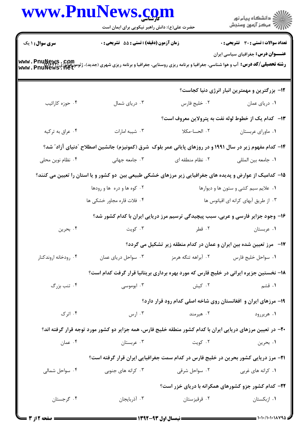|                        | حضرت علی(ع): دانش راهبر نیکویی برای ایمان است                                                                                                    |                     | ِ<br>∭ دانشڪاه پيام نور<br>∭ مرڪز آزمون وسنڊش                               |  |
|------------------------|--------------------------------------------------------------------------------------------------------------------------------------------------|---------------------|-----------------------------------------------------------------------------|--|
| <b>سری سوال : ۱ یک</b> | زمان آزمون (دقیقه) : تستی : 55 آتشریحی : 0                                                                                                       |                     | <b>تعداد سوالات : تستی : 30 - تشریحی : 0</b>                                |  |
|                        | <b>رشته تحصیلی/کد درس:</b> آب و هوا شناسی، جغرافیا و برنامه ریزی روستایی، جغرافیا و برنامه ریزی شهری (جدید)، ژئومورفولوژی<br>www . PnuNews . Het |                     | <b>عنـــوان درس:</b> جغرافیای سیاسی ایران                                   |  |
|                        |                                                                                                                                                  |                     | 12- بزرگترین و مهمترین انبار انرژی دنیا کجاست؟                              |  |
| ۰۴ حوزه کارائیب        | ۰۳ دریای شمال                                                                                                                                    | ٠٢ خليج فارس        | ۰۱ دریای عمان                                                               |  |
|                        |                                                                                                                                                  |                     | ۱۳– کدام یک از خطوط لوله نفت به پترولاین معروف است؟                         |  |
| ۰۴ عراق به ترکیه       | ۰۳ شيبه امارات                                                                                                                                   | ۰۲ الحسا-مکلا       | ٠١ ماوراي عربستان                                                           |  |
|                        | ۱۴- کدام مفهوم زیر در سال ۱۹۹۱ و در روزهای پایانی عمر بلوک شرق (کمونیزم) جانشین اصطلاح "دنیای آزاد" شد؟                                          |                     |                                                                             |  |
| ۰۴ نظام نوین محلی      | ۰۳ جامعه جهانی                                                                                                                                   | ۰۲ نظام منطقه ای    | ٠١. جامعه بين المللي                                                        |  |
|                        | ۱۵– کدامیک از عوارض و پدیده های جغرافیایی زیر مرزهای خشکی طبیعی بین دو کشور و یا استان را تعیین می کنند؟                                         |                     |                                                                             |  |
|                        | ۰۲ کوه ها و دره ها و رودها                                                                                                                       |                     | ۰۱ علایم سیم کشی و ستون ها و دیوارها                                        |  |
|                        | ۰۴ فلات قاره مجاور خشکی ها                                                                                                                       |                     | ۰۳ از طریق آبهای کرانه ای اقیانوس ها                                        |  |
|                        | ۱۶- وجود جزایر فارسی و عربی، سبب پیچیدگی ترسیم مرز دریایی ایران با کدام کشور شد؟                                                                 |                     |                                                                             |  |
| ۰۴ بحرين               | ۰۳ کويت                                                                                                                                          | ۰۲ قطر              | ۰۱ عربستان                                                                  |  |
|                        |                                                                                                                                                  |                     | <b>۱۷</b> - مرز تعیین شده بین ایران و عمان در کدام منطقه زیر تشکیل می گردد؟ |  |
| ۰۴ رودخانه اروندكنار   | ۰۳ سواحل دریای عمان                                                                                                                              | ۰۲ آبراهه تنگه هرمز | ٠١ سواحل خليج فارس                                                          |  |
|                        | ۱۸– نخستین جزیره ایرانی در خلیج فارس که مورد بهره برداری بریتانیا قرار گرفت کدام است؟                                                            |                     |                                                                             |  |
| ۰۴ تنب بزرگ            | ۰۳ ابوموسی                                                                                                                                       | ۰۲ کیش              | ۰۱ قشم                                                                      |  |
|                        |                                                                                                                                                  |                     | ۱۹- مرزهای ایران و افغانستان روی شاخه اصلی کدام رود قرار دارد؟              |  |
| ۰۴ اترک                | ارس ۲ $\mathfrak{r}$                                                                                                                             | ۰۲ هیرمند           | ۰۱ هريررود                                                                  |  |
|                        | +۲- در تعیین مرزهای دریایی ایران با کدام کشور منطقه خلیج فارس، همه جزایر دو کشور مورد توجه قرار گرفته اند؟                                       |                     |                                                                             |  |
| ۰۴ عمان                | ۰۳ عربستان                                                                                                                                       | ۰۲ کويت             | ۰۱ بحرين                                                                    |  |
|                        | <b>۲۱</b> - مرز دریایی کشور بحرین در خلیج فارس در کدام سمت جغرافیایی ایران قرار گرفته است؟                                                       |                     |                                                                             |  |
| ۰۴ سواحل شمالی         | ۰۳ کرانه های جنوبی                                                                                                                               |                     | ۰۱ کرانه های غربی مسلم سواحل شرقی .                                         |  |
|                        |                                                                                                                                                  |                     | <b>۲۲</b> - کدام کشور جزو کشورهای همکرانه با دریای خزر است؟                 |  |
| ۰۴ گرجستان             | ۰۳ آذربایجان                                                                                                                                     | ۰۲ قرقیزستان        | ۰۱ ازبکستان                                                                 |  |